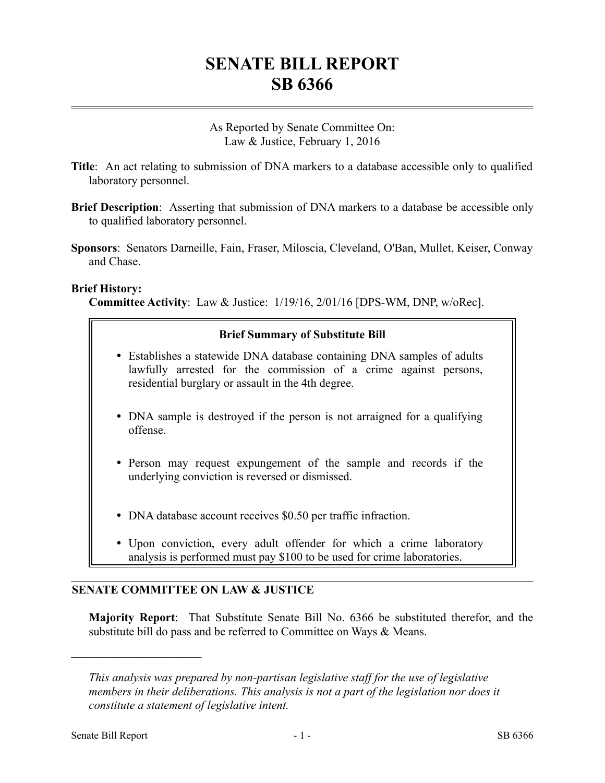# **SENATE BILL REPORT SB 6366**

As Reported by Senate Committee On: Law & Justice, February 1, 2016

- **Title**: An act relating to submission of DNA markers to a database accessible only to qualified laboratory personnel.
- **Brief Description**: Asserting that submission of DNA markers to a database be accessible only to qualified laboratory personnel.
- **Sponsors**: Senators Darneille, Fain, Fraser, Miloscia, Cleveland, O'Ban, Mullet, Keiser, Conway and Chase.

#### **Brief History:**

**Committee Activity**: Law & Justice: 1/19/16, 2/01/16 [DPS-WM, DNP, w/oRec].

# **Brief Summary of Substitute Bill**

- Establishes a statewide DNA database containing DNA samples of adults lawfully arrested for the commission of a crime against persons, residential burglary or assault in the 4th degree.
- DNA sample is destroyed if the person is not arraigned for a qualifying offense.
- Person may request expungement of the sample and records if the underlying conviction is reversed or dismissed.
- DNA database account receives \$0.50 per traffic infraction.
- Upon conviction, every adult offender for which a crime laboratory analysis is performed must pay \$100 to be used for crime laboratories.

# **SENATE COMMITTEE ON LAW & JUSTICE**

**Majority Report**: That Substitute Senate Bill No. 6366 be substituted therefor, and the substitute bill do pass and be referred to Committee on Ways & Means.

––––––––––––––––––––––

*This analysis was prepared by non-partisan legislative staff for the use of legislative members in their deliberations. This analysis is not a part of the legislation nor does it constitute a statement of legislative intent.*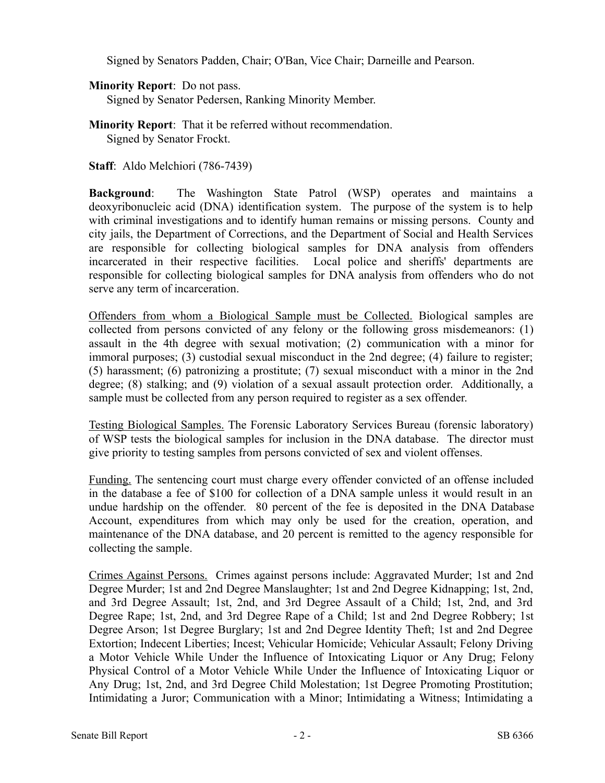Signed by Senators Padden, Chair; O'Ban, Vice Chair; Darneille and Pearson.

# **Minority Report**: Do not pass.

Signed by Senator Pedersen, Ranking Minority Member.

- **Minority Report**: That it be referred without recommendation. Signed by Senator Frockt.
- **Staff**: Aldo Melchiori (786-7439)

**Background**: The Washington State Patrol (WSP) operates and maintains a deoxyribonucleic acid (DNA) identification system. The purpose of the system is to help with criminal investigations and to identify human remains or missing persons. County and city jails, the Department of Corrections, and the Department of Social and Health Services are responsible for collecting biological samples for DNA analysis from offenders incarcerated in their respective facilities. Local police and sheriffs' departments are responsible for collecting biological samples for DNA analysis from offenders who do not serve any term of incarceration.

Offenders from whom a Biological Sample must be Collected. Biological samples are collected from persons convicted of any felony or the following gross misdemeanors: (1) assault in the 4th degree with sexual motivation; (2) communication with a minor for immoral purposes; (3) custodial sexual misconduct in the 2nd degree; (4) failure to register; (5) harassment; (6) patronizing a prostitute; (7) sexual misconduct with a minor in the 2nd degree; (8) stalking; and (9) violation of a sexual assault protection order. Additionally, a sample must be collected from any person required to register as a sex offender.

Testing Biological Samples. The Forensic Laboratory Services Bureau (forensic laboratory) of WSP tests the biological samples for inclusion in the DNA database. The director must give priority to testing samples from persons convicted of sex and violent offenses.

Funding. The sentencing court must charge every offender convicted of an offense included in the database a fee of \$100 for collection of a DNA sample unless it would result in an undue hardship on the offender. 80 percent of the fee is deposited in the DNA Database Account, expenditures from which may only be used for the creation, operation, and maintenance of the DNA database, and 20 percent is remitted to the agency responsible for collecting the sample.

Crimes Against Persons. Crimes against persons include: Aggravated Murder; 1st and 2nd Degree Murder; 1st and 2nd Degree Manslaughter; 1st and 2nd Degree Kidnapping; 1st, 2nd, and 3rd Degree Assault; 1st, 2nd, and 3rd Degree Assault of a Child; 1st, 2nd, and 3rd Degree Rape; 1st, 2nd, and 3rd Degree Rape of a Child; 1st and 2nd Degree Robbery; 1st Degree Arson; 1st Degree Burglary; 1st and 2nd Degree Identity Theft; 1st and 2nd Degree Extortion; Indecent Liberties; Incest; Vehicular Homicide; Vehicular Assault; Felony Driving a Motor Vehicle While Under the Influence of Intoxicating Liquor or Any Drug; Felony Physical Control of a Motor Vehicle While Under the Influence of Intoxicating Liquor or Any Drug; 1st, 2nd, and 3rd Degree Child Molestation; 1st Degree Promoting Prostitution; Intimidating a Juror; Communication with a Minor; Intimidating a Witness; Intimidating a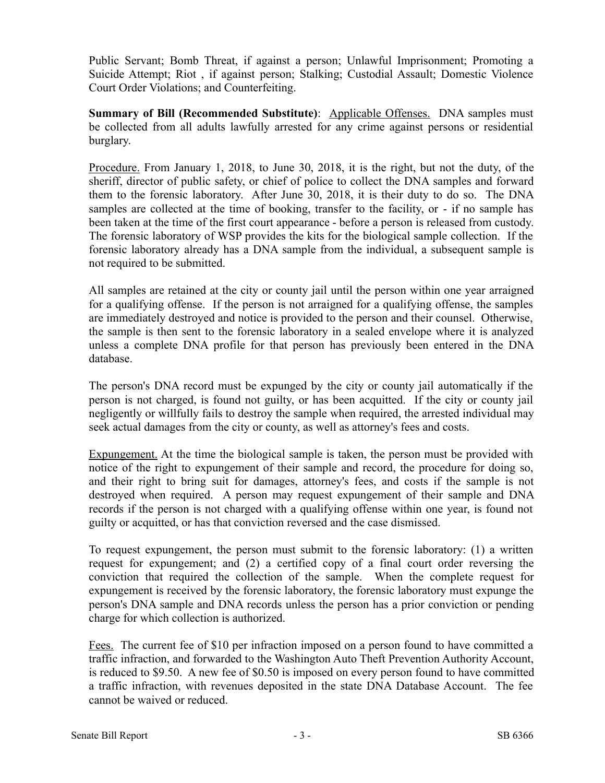Public Servant; Bomb Threat, if against a person; Unlawful Imprisonment; Promoting a Suicide Attempt; Riot , if against person; Stalking; Custodial Assault; Domestic Violence Court Order Violations; and Counterfeiting.

**Summary of Bill (Recommended Substitute):** Applicable Offenses. DNA samples must be collected from all adults lawfully arrested for any crime against persons or residential burglary.

Procedure. From January 1, 2018, to June 30, 2018, it is the right, but not the duty, of the sheriff, director of public safety, or chief of police to collect the DNA samples and forward them to the forensic laboratory. After June 30, 2018, it is their duty to do so. The DNA samples are collected at the time of booking, transfer to the facility, or - if no sample has been taken at the time of the first court appearance - before a person is released from custody. The forensic laboratory of WSP provides the kits for the biological sample collection. If the forensic laboratory already has a DNA sample from the individual, a subsequent sample is not required to be submitted.

All samples are retained at the city or county jail until the person within one year arraigned for a qualifying offense. If the person is not arraigned for a qualifying offense, the samples are immediately destroyed and notice is provided to the person and their counsel. Otherwise, the sample is then sent to the forensic laboratory in a sealed envelope where it is analyzed unless a complete DNA profile for that person has previously been entered in the DNA database.

The person's DNA record must be expunged by the city or county jail automatically if the person is not charged, is found not guilty, or has been acquitted. If the city or county jail negligently or willfully fails to destroy the sample when required, the arrested individual may seek actual damages from the city or county, as well as attorney's fees and costs.

Expungement. At the time the biological sample is taken, the person must be provided with notice of the right to expungement of their sample and record, the procedure for doing so, and their right to bring suit for damages, attorney's fees, and costs if the sample is not destroyed when required. A person may request expungement of their sample and DNA records if the person is not charged with a qualifying offense within one year, is found not guilty or acquitted, or has that conviction reversed and the case dismissed.

To request expungement, the person must submit to the forensic laboratory: (1) a written request for expungement; and (2) a certified copy of a final court order reversing the conviction that required the collection of the sample. When the complete request for expungement is received by the forensic laboratory, the forensic laboratory must expunge the person's DNA sample and DNA records unless the person has a prior conviction or pending charge for which collection is authorized.

Fees. The current fee of \$10 per infraction imposed on a person found to have committed a traffic infraction, and forwarded to the Washington Auto Theft Prevention Authority Account, is reduced to \$9.50. A new fee of \$0.50 is imposed on every person found to have committed a traffic infraction, with revenues deposited in the state DNA Database Account. The fee cannot be waived or reduced.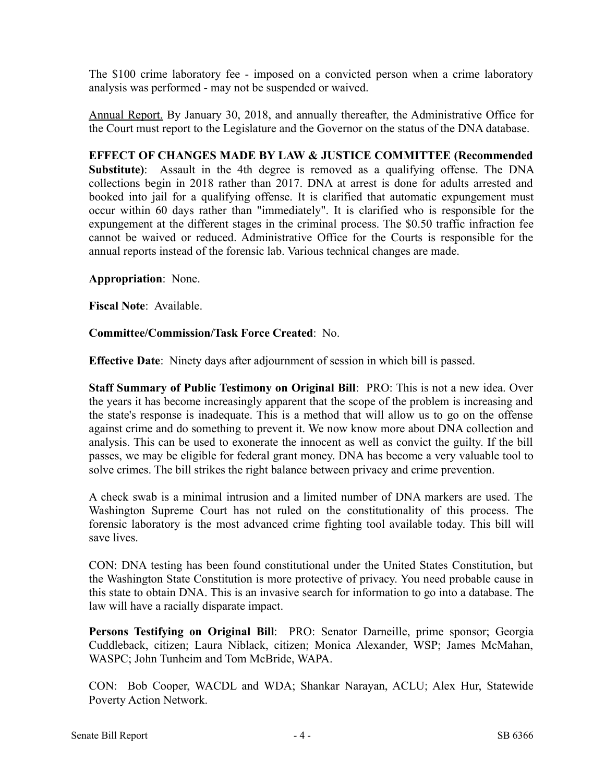The \$100 crime laboratory fee - imposed on a convicted person when a crime laboratory analysis was performed - may not be suspended or waived.

Annual Report. By January 30, 2018, and annually thereafter, the Administrative Office for the Court must report to the Legislature and the Governor on the status of the DNA database.

**EFFECT OF CHANGES MADE BY LAW & JUSTICE COMMITTEE (Recommended Substitute)**: Assault in the 4th degree is removed as a qualifying offense. The DNA collections begin in 2018 rather than 2017. DNA at arrest is done for adults arrested and booked into jail for a qualifying offense. It is clarified that automatic expungement must occur within 60 days rather than "immediately". It is clarified who is responsible for the expungement at the different stages in the criminal process. The \$0.50 traffic infraction fee cannot be waived or reduced. Administrative Office for the Courts is responsible for the annual reports instead of the forensic lab. Various technical changes are made.

#### **Appropriation**: None.

**Fiscal Note**: Available.

#### **Committee/Commission/Task Force Created**: No.

**Effective Date**: Ninety days after adjournment of session in which bill is passed.

**Staff Summary of Public Testimony on Original Bill**: PRO: This is not a new idea. Over the years it has become increasingly apparent that the scope of the problem is increasing and the state's response is inadequate. This is a method that will allow us to go on the offense against crime and do something to prevent it. We now know more about DNA collection and analysis. This can be used to exonerate the innocent as well as convict the guilty. If the bill passes, we may be eligible for federal grant money. DNA has become a very valuable tool to solve crimes. The bill strikes the right balance between privacy and crime prevention.

A check swab is a minimal intrusion and a limited number of DNA markers are used. The Washington Supreme Court has not ruled on the constitutionality of this process. The forensic laboratory is the most advanced crime fighting tool available today. This bill will save lives.

CON: DNA testing has been found constitutional under the United States Constitution, but the Washington State Constitution is more protective of privacy. You need probable cause in this state to obtain DNA. This is an invasive search for information to go into a database. The law will have a racially disparate impact.

**Persons Testifying on Original Bill**: PRO: Senator Darneille, prime sponsor; Georgia Cuddleback, citizen; Laura Niblack, citizen; Monica Alexander, WSP; James McMahan, WASPC; John Tunheim and Tom McBride, WAPA.

CON: Bob Cooper, WACDL and WDA; Shankar Narayan, ACLU; Alex Hur, Statewide Poverty Action Network.